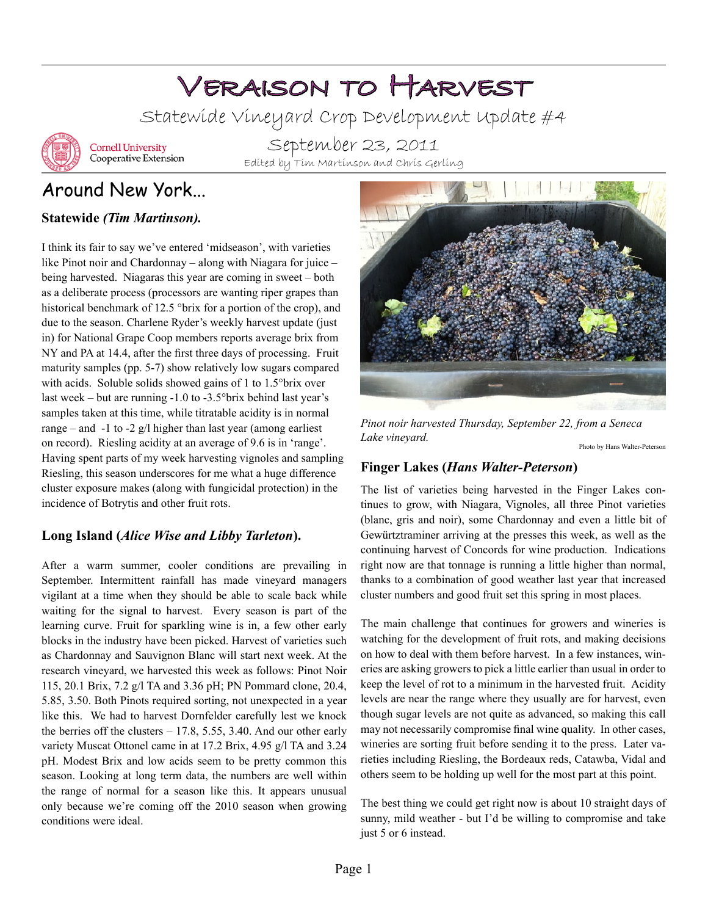# Veraison to Harvest

Statewide Vineyard Crop Development Update #4



**Cornell University** Cooperative Extension

September 23, 2011 Edited by Tim Martinson and Chris Gerling

## Around New York...

#### **Statewide** *(Tim Martinson).*

I think its fair to say we've entered 'midseason', with varieties like Pinot noir and Chardonnay – along with Niagara for juice – being harvested. Niagaras this year are coming in sweet – both as a deliberate process (processors are wanting riper grapes than historical benchmark of 12.5 °brix for a portion of the crop), and due to the season. Charlene Ryder's weekly harvest update (just in) for National Grape Coop members reports average brix from NY and PA at 14.4, after the first three days of processing. Fruit maturity samples (pp. 5-7) show relatively low sugars compared with acids. Soluble solids showed gains of 1 to 1.5°brix over last week – but are running -1.0 to -3.5°brix behind last year's samples taken at this time, while titratable acidity is in normal range – and  $-1$  to  $-2$  g/l higher than last year (among earliest on record). Riesling acidity at an average of 9.6 is in 'range'. Having spent parts of my week harvesting vignoles and sampling Riesling, this season underscores for me what a huge difference cluster exposure makes (along with fungicidal protection) in the incidence of Botrytis and other fruit rots.

#### **Long Island (***Alice Wise and Libby Tarleton***).**

After a warm summer, cooler conditions are prevailing in September. Intermittent rainfall has made vineyard managers vigilant at a time when they should be able to scale back while waiting for the signal to harvest. Every season is part of the learning curve. Fruit for sparkling wine is in, a few other early blocks in the industry have been picked. Harvest of varieties such as Chardonnay and Sauvignon Blanc will start next week. At the research vineyard, we harvested this week as follows: Pinot Noir 115, 20.1 Brix, 7.2 g/l TA and 3.36 pH; PN Pommard clone, 20.4, 5.85, 3.50. Both Pinots required sorting, not unexpected in a year like this. We had to harvest Dornfelder carefully lest we knock the berries off the clusters – 17.8, 5.55, 3.40. And our other early variety Muscat Ottonel came in at 17.2 Brix, 4.95 g/l TA and 3.24 pH. Modest Brix and low acids seem to be pretty common this season. Looking at long term data, the numbers are well within the range of normal for a season like this. It appears unusual only because we're coming off the 2010 season when growing conditions were ideal.



*Pinot noir harvested Thursday, September 22, from a Seneca Lake vineyard.*

#### Photo by Hans Walter-Peterson

#### **Finger Lakes (***Hans Walter-Peterson***)**

The list of varieties being harvested in the Finger Lakes continues to grow, with Niagara, Vignoles, all three Pinot varieties (blanc, gris and noir), some Chardonnay and even a little bit of Gewürtztraminer arriving at the presses this week, as well as the continuing harvest of Concords for wine production. Indications right now are that tonnage is running a little higher than normal, thanks to a combination of good weather last year that increased cluster numbers and good fruit set this spring in most places.

The main challenge that continues for growers and wineries is watching for the development of fruit rots, and making decisions on how to deal with them before harvest. In a few instances, wineries are asking growers to pick a little earlier than usual in order to keep the level of rot to a minimum in the harvested fruit. Acidity levels are near the range where they usually are for harvest, even though sugar levels are not quite as advanced, so making this call may not necessarily compromise final wine quality. In other cases, wineries are sorting fruit before sending it to the press. Later varieties including Riesling, the Bordeaux reds, Catawba, Vidal and others seem to be holding up well for the most part at this point.

The best thing we could get right now is about 10 straight days of sunny, mild weather - but I'd be willing to compromise and take just 5 or 6 instead.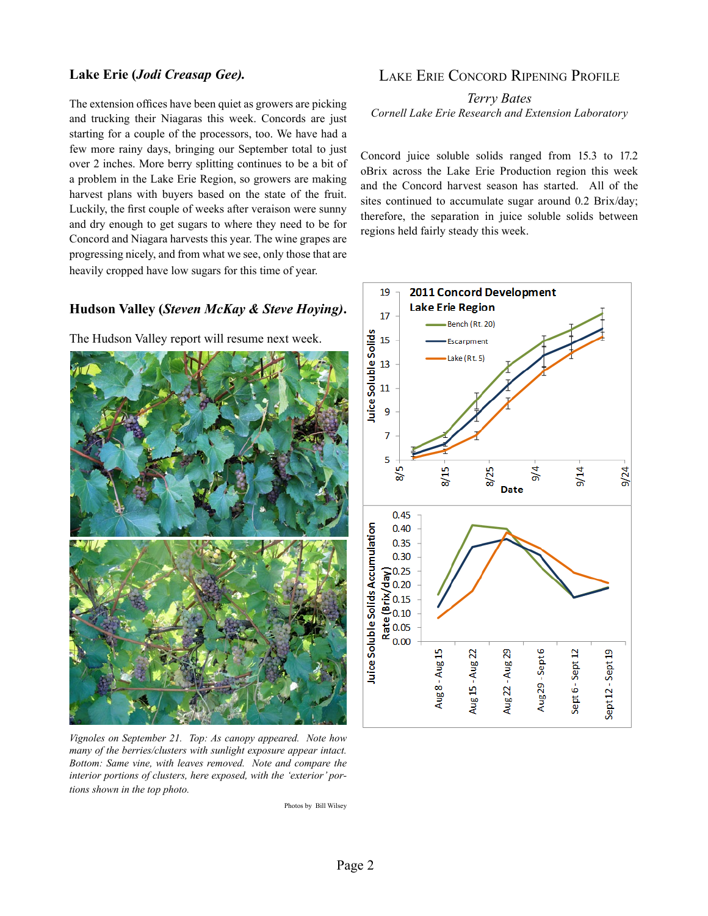#### **Lake Erie (***Jodi Creasap Gee).*

The extension offices have been quiet as growers are picking and trucking their Niagaras this week. Concords are just starting for a couple of the processors, too. We have had a few more rainy days, bringing our September total to just over 2 inches. More berry splitting continues to be a bit of a problem in the Lake Erie Region, so growers are making harvest plans with buyers based on the state of the fruit. Luckily, the first couple of weeks after veraison were sunny and dry enough to get sugars to where they need to be for Concord and Niagara harvests this year. The wine grapes are progressing nicely, and from what we see, only those that are heavily cropped have low sugars for this time of year.

#### **Hudson Valley (***Steven McKay & Steve Hoying)***.**

The Hudson Valley report will resume next week.



*Vignoles on September 21. Top: As canopy appeared. Note how many of the berries/clusters with sunlight exposure appear intact. Bottom: Same vine, with leaves removed. Note and compare the interior portions of clusters, here exposed, with the 'exterior' portions shown in the top photo.* 

Photos by Bill Wilsey

#### Lake Erie Concord Ripening Profile

*Terry Bates Cornell Lake Erie Research and Extension Laboratory*

Concord juice soluble solids ranged from 15.3 to 17.2 oBrix across the Lake Erie Production region this week and the Concord harvest season has started. All of the sites continued to accumulate sugar around 0.2 Brix/day; therefore, the separation in juice soluble solids between regions held fairly steady this week.

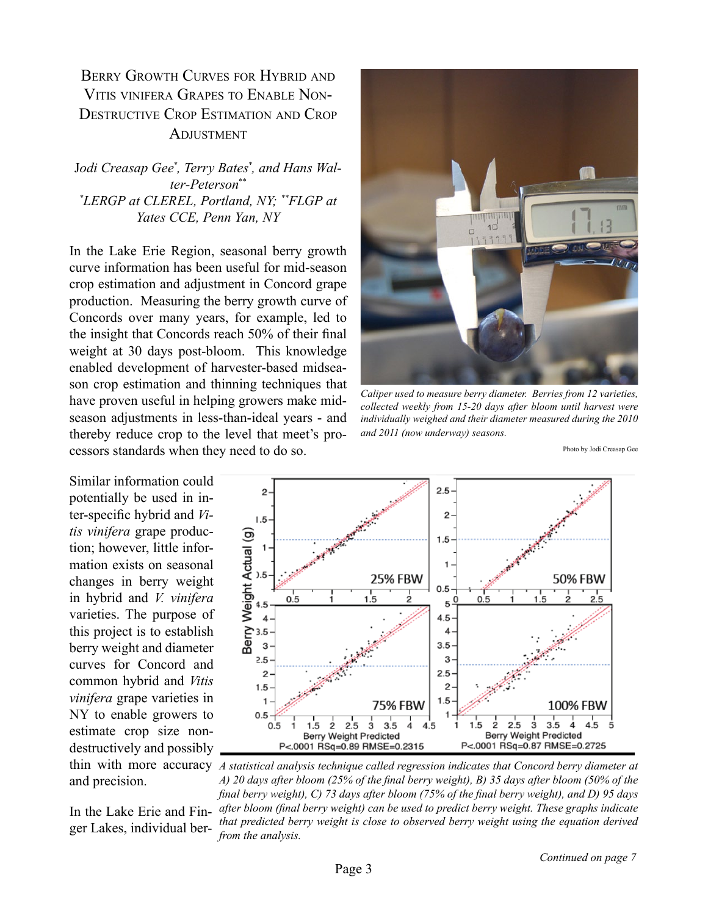### BERRY GROWTH CURVES FOR HYBRID AND Vitis vinifera Grapes to Enable Non-Destructive Crop Estimation and Crop **ADJUSTMENT**

J*odi Creasap Gee\* , Terry Bates\* , and Hans Walter-Peterson\*\* \* LERGP at CLEREL, Portland, NY; \*\*FLGP at Yates CCE, Penn Yan, NY*

In the Lake Erie Region, seasonal berry growth curve information has been useful for mid-season crop estimation and adjustment in Concord grape production. Measuring the berry growth curve of Concords over many years, for example, led to the insight that Concords reach 50% of their final weight at 30 days post-bloom. This knowledge enabled development of harvester-based midseason crop estimation and thinning techniques that have proven useful in helping growers make midseason adjustments in less-than-ideal years - and thereby reduce crop to the level that meet's processors standards when they need to do so.

Similar information could potentially be used in inter-specific hybrid and *Vitis vinifera* grape production; however, little information exists on seasonal changes in berry weight in hybrid and *V. vinifera* varieties. The purpose of this project is to establish berry weight and diameter curves for Concord and common hybrid and *Vitis vinifera* grape varieties in NY to enable growers to estimate crop size nondestructively and possibly and precision.

ger Lakes, individual ber-



*Caliper used to measure berry diameter. Berries from 12 varieties, collected weekly from 15-20 days after bloom until harvest were individually weighed and their diameter measured during the 2010 and 2011 (now underway) seasons.*

Photo by Jodi Creasap Gee



thin with more accuracy *A statistical analysis technique called regression indicates that Concord berry diameter at*  In the Lake Erie and Fin-*after bloom (final berry weight) can be used to predict berry weight. These graphs indicate A) 20 days after bloom (25% of the final berry weight), B) 35 days after bloom (50% of the final berry weight), C) 73 days after bloom (75% of the final berry weight), and D) 95 days that predicted berry weight is close to observed berry weight using the equation derived from the analysis.*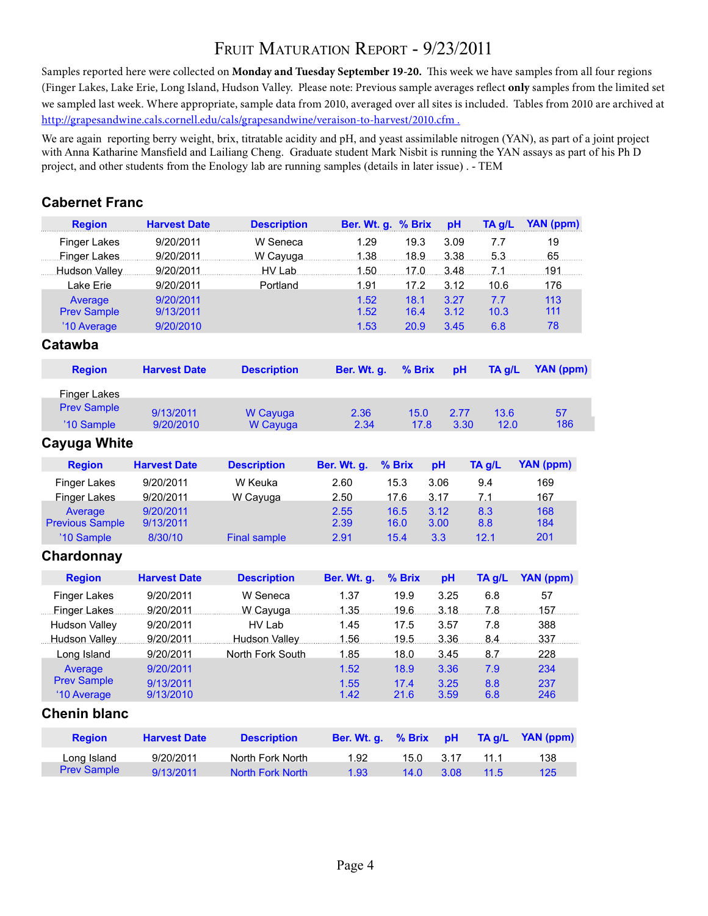## FRUIT MATURATION REPORT - 9/23/2011

Samples reported here were collected on **Monday and Tuesday September 19-20.** This week we have samples from all four regions (Finger Lakes, Lake Erie, Long Island, Hudson Valley. Please note: Previous sample averages reflect **only** samples from the limited set we sampled last week. Where appropriate, sample data from 2010, averaged over all sites is included. Tables from 2010 are archived at http://grapesandwine.cals.cornell.edu/cals/grapesandwine/veraison-to-harvest/2010.cfm .

We are again reporting berry weight, brix, titratable acidity and pH, and yeast assimilable nitrogen (YAN), as part of a joint project with Anna Katharine Mansfield and Lailiang Cheng. Graduate student Mark Nisbit is running the YAN assays as part of his Ph D project, and other students from the Enology lab are running samples (details in later issue) . - TEM

#### **Cabernet Franc**

| <b>Region</b>                     | <b>Harvest Date</b>    | <b>Description</b>      | Ber. Wt. g.  | % Brix       | pH           | TA g/L       | YAN (ppm)        |
|-----------------------------------|------------------------|-------------------------|--------------|--------------|--------------|--------------|------------------|
| <b>Finger Lakes</b>               | 9/20/2011              | W Seneca                | 1.29         | 19.3         | 3.09         | 7.7          | 19               |
| Finger Lakes                      | 9/20/2011              | W Cayuga                | 1.38         | 18.9         | 3.38         | 5.3          | 65               |
| Hudson Valley                     | 9/20/2011              | HV Lab                  | 1.50         | 17.0         | 3.48         | 7.1          | 191              |
| Lake Erie                         | 9/20/2011              | Portland                | 1.91         | 17.2         | 3.12         | 10.6         | 176              |
| Average                           | 9/20/2011              |                         | 1.52         | 18.1         | 3.27         | 7.7          | 113              |
| <b>Prev Sample</b>                | 9/13/2011              |                         | 1.52         | 16.4         | 3.12         | 10.3         | 111              |
| '10 Average<br>Catawba            | 9/20/2010              |                         | 1.53         | 20.9         | 3.45         | 6.8          | 78               |
| <b>Region</b>                     | <b>Harvest Date</b>    | <b>Description</b>      | Ber. Wt. g.  | % Brix       | pH           | TA g/L       | <b>YAN (ppm)</b> |
| <b>Finger Lakes</b>               |                        |                         |              |              |              |              |                  |
| <b>Prev Sample</b>                |                        |                         |              |              |              |              |                  |
| '10 Sample                        | 9/13/2011<br>9/20/2010 | W Cayuga<br>W Cayuga    | 2.36<br>2.34 | 15.0<br>17.8 | 2.77<br>3.30 | 13.6<br>12.0 | 57<br>186        |
| Cayuga White                      |                        |                         |              |              |              |              |                  |
| <b>Region</b>                     | <b>Harvest Date</b>    | <b>Description</b>      | Ber. Wt. g.  | % Brix       | pH           | TA g/L       | YAN (ppm)        |
| <b>Finger Lakes</b>               | 9/20/2011              | W Keuka                 | 2.60         | 15.3         | 3.06         | 9.4          | 169              |
| <b>Finger Lakes</b>               | 9/20/2011              | W Cayuga                | 2.50         | 17.6         | 3.17         | 7.1          | 167              |
| Average                           | 9/20/2011              |                         | 2.55         | 16.5         | 3.12         | 8.3          | 168              |
| <b>Previous Sample</b>            | 9/13/2011              |                         | 2.39         | 16.0         | 3.00         | 8.8          | 184              |
| '10 Sample                        | 8/30/10                | <b>Final sample</b>     | 2.91         | 15.4         | 3.3          | 12.1         | 201              |
| Chardonnay                        |                        |                         |              |              |              |              |                  |
| <b>Region</b>                     | <b>Harvest Date</b>    | <b>Description</b>      | Ber. Wt. g.  | % Brix       | pH           | TA g/L       | YAN (ppm)        |
| <b>Finger Lakes</b>               | 9/20/2011              | W Seneca                | 1.37         | 19.9         | 3.25         | 6.8          | 57               |
| Finger Lakes                      | 9/20/2011              | W Cayuga                | 1.35         | 19.6         | 3.18         | 7.8          | 157              |
| <b>Hudson Valley</b>              | 9/20/2011              | HV Lab                  | 1.45         | 17.5         | 3.57         | 7.8          | 388              |
| Hudson Valley                     | 9/20/2011              | Hudson Valley           | 1.56         | 19.5         | 3.36         | 8.4          | 337              |
| Long Island                       | 9/20/2011              | North Fork South        | 1.85         | 18.0         | 3.45         | 8.7          | 228              |
| Average                           | 9/20/2011              |                         | 1.52         | 18.9         | 3.36         | 7.9          | 234              |
| <b>Prev Sample</b><br>'10 Average | 9/13/2011<br>9/13/2010 |                         | 1.55<br>1.42 | 17.4<br>21.6 | 3.25<br>3.59 | 8.8<br>6.8   | 237<br>246       |
| <b>Chenin blanc</b>               |                        |                         |              |              |              |              |                  |
| <b>Region</b>                     | <b>Harvest Date</b>    | <b>Description</b>      | Ber. Wt. g.  | % Brix       | pH           | TA g/L       | YAN (ppm)        |
| Long Island                       | 9/20/2011              | North Fork North        | 1.92         | 15.0         | 3.17         | 11.1         | 138              |
| <b>Prev Sample</b>                | 9/13/2011              | <b>North Fork North</b> | 1.93         | 14.0         | 3.08         | 11.5         | 125              |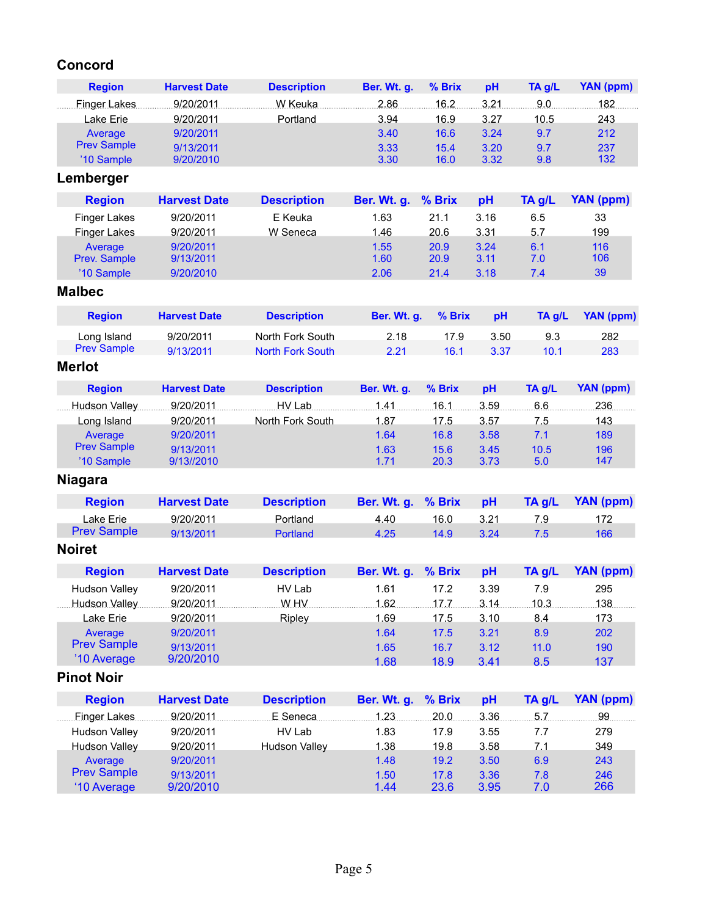## **Concord**

| <b>Region</b>      | <b>Harvest Date</b> | <b>Description</b> | Ber. Wt. q. | $%$ Brix | pH   | TA g/L | YAN (ppm) |
|--------------------|---------------------|--------------------|-------------|----------|------|--------|-----------|
| Finger Lakes       | 9/20/2011           | W Keuka            | 2.86        | 16.2     | 3.21 | 9.0    | 182       |
| Lake Erie          | 9/20/2011           | Portland           | 3.94        | 16.9     | 3.27 | 10.5   | 243       |
| Average            | 9/20/2011           |                    | 3.40        | 16.6     | 3.24 | 9.7    | 212       |
| <b>Prev Sample</b> | 9/13/2011           |                    | 3.33        | 15.4     | 3.20 | 9.7    | 237       |
| '10 Sample         | 9/20/2010           |                    | 3.30        | 16.0     | 3.32 | 9.8    | 132       |

## **Lemberger**

| <b>Region</b>       | <b>Harvest Date</b> | <b>Description</b> | Ber. Wt. g. % Brix |      | pH   | TA g/L | YAN (ppm) |
|---------------------|---------------------|--------------------|--------------------|------|------|--------|-----------|
| <b>Finger Lakes</b> | 9/20/2011           | E Keuka            | 1.63               | 21.1 | 3.16 | 6.5    | 33        |
| <b>Finger Lakes</b> | 9/20/2011           | W Seneca           | 1.46               | 20.6 | 3.31 | 5.7    | 199       |
| Average             | 9/20/2011           |                    | 1.55               | 20.9 | 3.24 | 6.1    | 116       |
| Prev. Sample        | 9/13/2011           |                    | 1.60               | 20.9 | 3.11 | 7.0    | 106       |
| '10 Sample          | 9/20/2010           |                    | 2.06               | 21.4 | 3.18 | 7.4    | 39        |

#### **Malbec**

| <b>Region</b>      | <b>Harvest Date</b> | <b>Description</b> | Ber. Wt. q. % Brix |      | <b>DH</b> | <b>TA a/L</b> | YAN (ppm) |
|--------------------|---------------------|--------------------|--------------------|------|-----------|---------------|-----------|
| Long Island        | 9/20/2011           | North Fork South   | 2.18               | 17.9 | 3.50      | 9.3           | 282       |
| <b>Prev Sample</b> | 9/13/2011           | North Fork South   | 2.21               | 16.1 | 3.37      | 10.1          | 283       |

#### **Merlot**

| <b>Region</b>      | <b>Harvest Date</b> | <b>Description</b> | Ber. Wt. g. | % Brix | рH   | TA g/L | YAN (ppm) |
|--------------------|---------------------|--------------------|-------------|--------|------|--------|-----------|
| Hudson Valley      | 9/20/2011           | HV Lab             | 1.41        | 16.1   | 3.59 | 6.6    | 236       |
| Long Island        | 9/20/2011           | North Fork South   | 1.87        | 17.5   | 3.57 | 7.5    | 143       |
| Average            | 9/20/2011           |                    | 1.64        | 16.8   | 3.58 | 7.1    | 189       |
| <b>Prev Sample</b> | 9/13/2011           |                    | 1.63        | 15.6   | 3.45 | 10.5   | 196       |
| '10 Sample         | 9/13//2010          |                    | 1.71        | 20.3   | 3.73 | 5.0    | 147       |

## **Niagara**

| <b>Region</b>      | <b>Harvest Date</b> | <b>Description</b> | Ber. Wt. g. % Brix |      | <b>DH</b> | TA a/L | YAN (ppm) |
|--------------------|---------------------|--------------------|--------------------|------|-----------|--------|-----------|
| Lake Erie          | 9/20/2011           | Portland           | 4.40               | 16.0 | 3.21      | 7 Q    | 172       |
| <b>Prev Sample</b> | 9/13/2011           | Portland           | 4.25               | 14.9 | 3.24      | 7.5    | 166       |

#### **Noiret**

| <b>Region</b>        | <b>Harvest Date</b> | <b>Description</b> | Ber. Wt. g. % Brix |      | рH   | TA g/L | YAN (ppm) |
|----------------------|---------------------|--------------------|--------------------|------|------|--------|-----------|
| Hudson Valley        | 9/20/2011           | HV Lab             | 1.61               | 17.2 | 3.39 | 7.9    | 295       |
| <b>Hudson Valley</b> | 9/20/2011           | W HV               | 1.62               | 17.7 | 3.14 | 10.3   | 138       |
| Lake Erie            | 9/20/2011           | Ripley             | 1.69               | 17.5 | 3.10 | 8.4    | 173       |
| Average              | 9/20/2011           |                    | 1.64               | 17.5 | 3.21 | 8.9    | 202       |
| <b>Prev Sample</b>   | 9/13/2011           |                    | 1.65               | 16.7 | 3.12 | 11.0   | 190       |
| '10 Average          | 9/20/2010           |                    | 1.68               | 18.9 | 3.41 | 8.5    | 137       |

## **Pinot Noir**

| <b>Region</b>        | <b>Harvest Date</b> | <b>Description</b>   | Ber. Wt. g. % Brix |      | рH   | $TA$ g/L | YAN (ppm) |
|----------------------|---------------------|----------------------|--------------------|------|------|----------|-----------|
| Finger Lakes         | 9/20/2011           | E Seneca             | 1.23               | 20.0 | 3.36 | 5.7      | 99        |
| <b>Hudson Valley</b> | 9/20/2011           | HV Lab               | 1.83               | 17.9 | 3.55 | 7.7      | 279       |
| Hudson Valley        | 9/20/2011           | <b>Hudson Valley</b> | 1.38               | 19.8 | 3.58 | 7.1      | 349       |
| Average              | 9/20/2011           |                      | 1.48               | 19.2 | 3.50 | 6.9      | 243       |
| <b>Prev Sample</b>   | 9/13/2011           |                      | 1.50               | 17.8 | 3.36 | 7.8      | 246       |
| '10 Average          | 9/20/2010           |                      | 1.44               | 23.6 | 3.95 | 7.0      | 266       |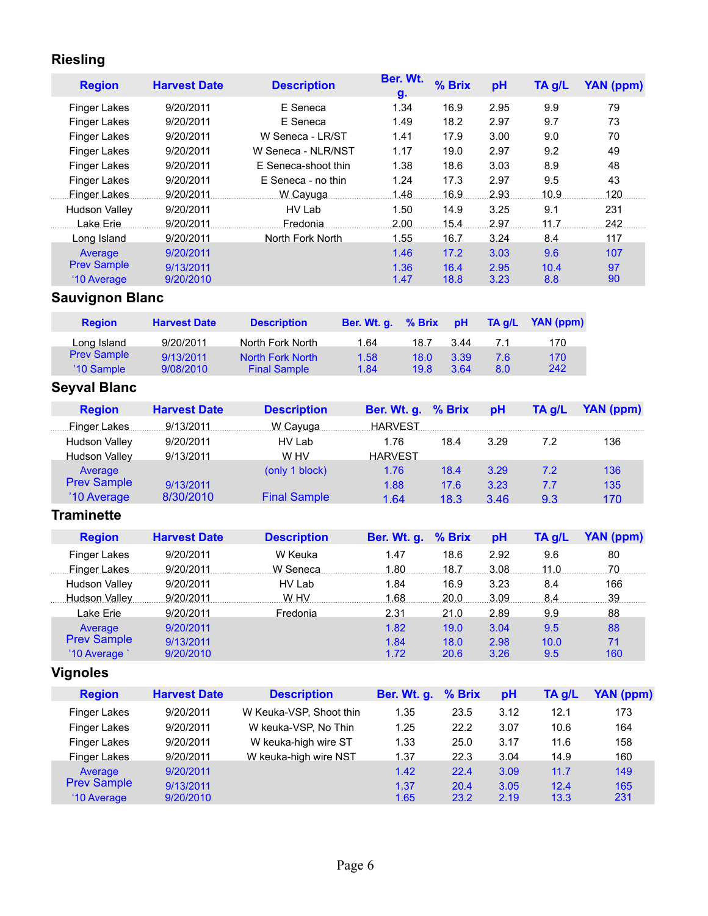## **Riesling**

| <b>Region</b>        | <b>Harvest Date</b>    | <b>Description</b>  | Ber. Wt.<br>g. | % Brix | pH   | TA g/L | <b>YAN (ppm)</b> |  |  |  |  |
|----------------------|------------------------|---------------------|----------------|--------|------|--------|------------------|--|--|--|--|
| <b>Finger Lakes</b>  | 9/20/2011              | E Seneca            | 1.34           | 16.9   | 2.95 | 9.9    | 79               |  |  |  |  |
| <b>Finger Lakes</b>  | 9/20/2011              | E Seneca            | 1.49           | 18.2   | 2.97 | 9.7    | 73               |  |  |  |  |
| <b>Finger Lakes</b>  | 9/20/2011              | W Seneca - LR/ST    | 1.41           | 17.9   | 3.00 | 9.0    | 70               |  |  |  |  |
| <b>Finger Lakes</b>  | 9/20/2011              | W Seneca - NLR/NST  | 1.17           | 19.0   | 2.97 | 9.2    | 49               |  |  |  |  |
| <b>Finger Lakes</b>  | 9/20/2011              | E Seneca-shoot thin | 1.38           | 18.6   | 3.03 | 8.9    | 48               |  |  |  |  |
| Finger Lakes         | 9/20/2011              | E Seneca - no thin  | 1.24           | 17.3   | 2.97 | 9.5    | 43               |  |  |  |  |
| Finger Lakes         | 9/20/2011              | W Cayuga            | 1.48           | 16.9   | 2.93 | 10.9   | 120              |  |  |  |  |
| <b>Hudson Valley</b> | 9/20/2011              | HV Lab              | 1.50           | 14.9   | 3.25 | 9.1    | 231              |  |  |  |  |
| Lake Erie            | 9/20/2011              | Fredonia.           | 2.00           | 15.4   | 2.97 | 11.7   | 242              |  |  |  |  |
| Long Island          | 9/20/2011              | North Fork North    | 1.55           | 16.7   | 3.24 | 8.4    | 117              |  |  |  |  |
| Average              | 9/20/2011              |                     | 1.46           | 17.2   | 3.03 | 9.6    | 107              |  |  |  |  |
| <b>Prev Sample</b>   | 9/13/2011              |                     | 1.36           | 16.4   | 2.95 | 10.4   | 97               |  |  |  |  |
| '10 Average          | 9/20/2010              |                     | 1.47           | 18.8   | 3.23 | 8.8    | 90               |  |  |  |  |
|                      | <b>Sauvignon Blanc</b> |                     |                |        |      |        |                  |  |  |  |  |

| <b>Region</b>      | <b>Harvest Date</b> | <b>Description</b>  | Ber. Wt. q. | $%$ Brix | <b>H</b> q | TA q/L | YAN (ppm) |
|--------------------|---------------------|---------------------|-------------|----------|------------|--------|-----------|
| Long Island        | 9/20/2011           | North Fork North    | 1.64        | 18.7     | 3.44       |        | 170       |
| <b>Prev Sample</b> | 9/13/2011           | North Fork North    | 1.58        | 18.0     | 3.39       | 7.6    | 170       |
| '10 Sample         | 9/08/2010           | <b>Final Sample</b> | 1.84        | 19.8     | 3.64       | 8.0    | 242       |
|                    |                     |                     |             |          |            |        |           |

## **Seyval Blanc**

| <b>Region</b>        | <b>Harvest Date</b> | <b>Description</b>  | Ber. Wt. g. % Brix |      | pH   | TA a/L | YAN (ppm) |
|----------------------|---------------------|---------------------|--------------------|------|------|--------|-----------|
| Finger Lakes         | 9/13/2011           | W Cayuga            | <b>HARVEST</b>     |      |      |        |           |
| <b>Hudson Valley</b> | 9/20/2011           | HV Lab              | 1.76               | 18.4 | 3.29 | 7.2    | 136       |
| <b>Hudson Valley</b> | 9/13/2011           | W HV                | <b>HARVEST</b>     |      |      |        |           |
| Average              |                     | (only 1 block)      | 1.76               | 18.4 | 3.29 | 7.2    | 136       |
| <b>Prev Sample</b>   | 9/13/2011           |                     | 1.88               | 17.6 | 3.23 | 7.7    | 135       |
| '10 Average          | 8/30/2010           | <b>Final Sample</b> | 1.64               | 18.3 | 3.46 | 9.3    | 170       |

### **Traminette**

| <b>Region</b>      | <b>Harvest Date</b> | <b>Description</b> | Ber. Wt. g. % Brix |      | pH   | TA g/L | YAN (ppm) |
|--------------------|---------------------|--------------------|--------------------|------|------|--------|-----------|
| Finger Lakes       | 9/20/2011           | W Keuka            | 1.47               | 18.6 | 2.92 | 9.6    | 80        |
| Finger Lakes       | 9/20/2011           | W Seneca           | 1.80               | 18.7 | 3.08 | 11.0   | 70        |
| Hudson Valley      | 9/20/2011           | HV Lab             | 1.84               | 16.9 | 3.23 | 8.4    | 166       |
| Hudson Valley      | 9/20/2011           | W HV               | 1.68               | 20.0 | 3.09 | 8.4    | 39        |
| Lake Erie          | 9/20/2011           | Fredonia           | 2.31               | 21.0 | 2.89 | 9.9    | 88        |
| Average            | 9/20/2011           |                    | 1.82               | 19.0 | 3.04 | 9.5    | 88        |
| <b>Prev Sample</b> | 9/13/2011           |                    | 1.84               | 18.0 | 2.98 | 10.0   | 71        |
| '10 Average        | 9/20/2010           |                    | 1.72               | 20.6 | 3.26 | 9.5    | 160       |

## **Vignoles**

| <b>Region</b>       | <b>Harvest Date</b> | <b>Description</b>      | Ber. Wt. g. % Brix |      | pH   | $TA$ g/L | YAN (ppm) |
|---------------------|---------------------|-------------------------|--------------------|------|------|----------|-----------|
| Finger Lakes        | 9/20/2011           | W Keuka-VSP, Shoot thin | 1.35               | 23.5 | 3.12 | 12.1     | 173       |
| <b>Finger Lakes</b> | 9/20/2011           | W keuka-VSP, No Thin    | 1.25               | 22.2 | 3.07 | 10.6     | 164       |
| <b>Finger Lakes</b> | 9/20/2011           | W keuka-high wire ST    | 1.33               | 25.0 | 3.17 | 11.6     | 158       |
| Finger Lakes        | 9/20/2011           | W keuka-high wire NST   | 1.37               | 22.3 | 3.04 | 14.9     | 160       |
| Average             | 9/20/2011           |                         | 1.42               | 22.4 | 3.09 | 11.7     | 149       |
| <b>Prev Sample</b>  | 9/13/2011           |                         | 1.37               | 20.4 | 3.05 | 12.4     | 165       |
| '10 Average         | 9/20/2010           |                         | 1.65               | 23.2 | 2.19 | 13.3     | 231       |